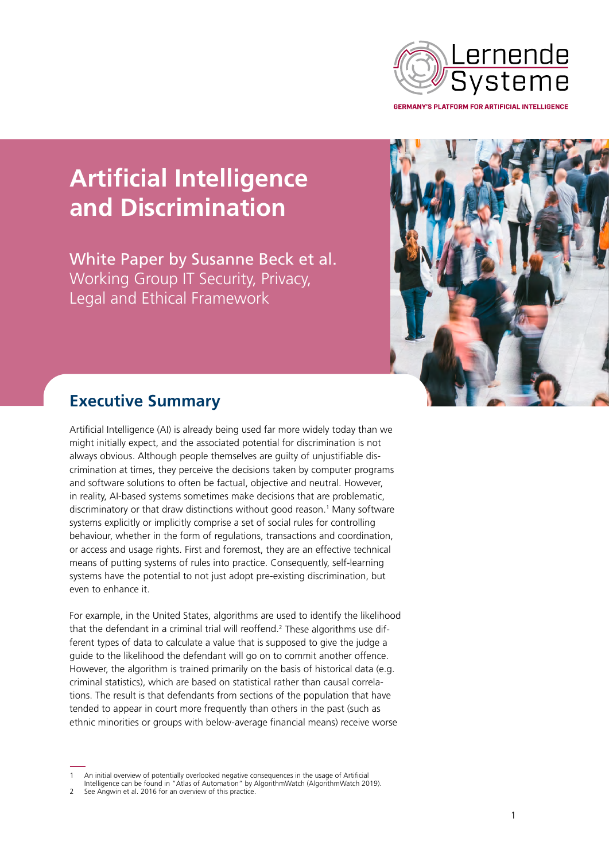

**GERMANY'S PLATFORM FOR ARTIFICIAL INTELLIGENCE** 

# **Artificial Intelligence and Discrimination**

White Paper by Susanne Beck et al. Working Group IT Security, Privacy, Legal and Ethical Framework



## **Executive Summary**

Artificial Intelligence (AI) is already being used far more widely today than we might initially expect, and the associated potential for discrimination is not always obvious. Although people themselves are guilty of unjustifiable discrimination at times, they perceive the decisions taken by computer programs and software solutions to often be factual, objective and neutral. However, in reality, AI-based systems sometimes make decisions that are problematic, discriminatory or that draw distinctions without good reason.<sup>[1](#page-0-0)</sup> Many software systems explicitly or implicitly comprise a set of social rules for controlling behaviour, whether in the form of regulations, transactions and coordination, or access and usage rights. First and foremost, they are an effective technical means of putting systems of rules into practice. Consequently, self-learning systems have the potential to not just adopt pre-existing discrimination, but even to enhance it.

For example, in the United States, algorithms are used to identify the likelihood that the defendant in a criminal trial will reoffend.<sup>[2](#page-0-1)</sup> These algorithms use different types of data to calculate a value that is supposed to give the judge a guide to the likelihood the defendant will go on to commit another offence. However, the algorithm is trained primarily on the basis of historical data (e.g. criminal statistics), which are based on statistical rather than causal correlations. The result is that defendants from sections of the population that have tended to appear in court more frequently than others in the past (such as ethnic minorities or groups with below-average financial means) receive worse

<span id="page-0-0"></span>An initial overview of potentially overlooked negative consequences in the usage of Artificial

Intelligence can be found in "Atlas of Automation" by AlgorithmWatch (AlgorithmWatch 2019).

<span id="page-0-1"></span>See Angwin et al. 2016 for an overview of this practice.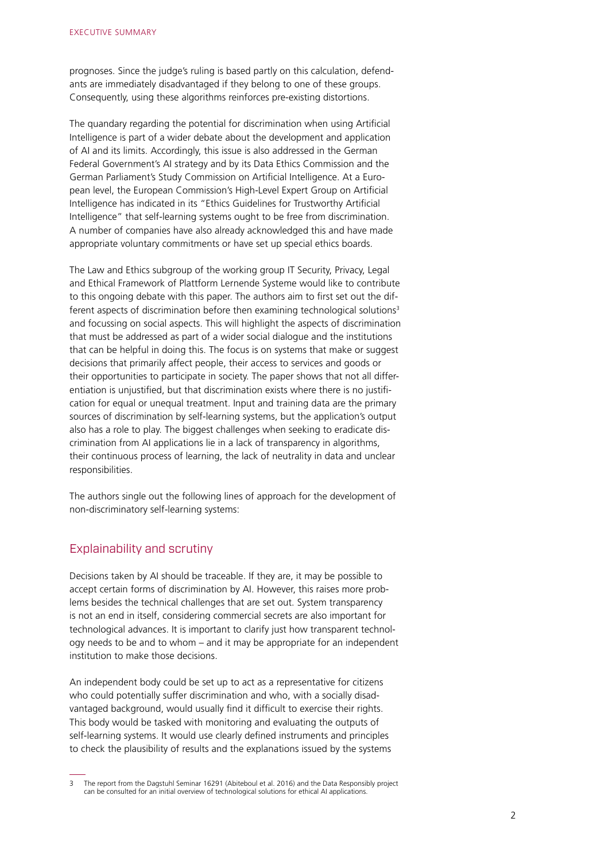prognoses. Since the judge's ruling is based partly on this calculation, defendants are immediately disadvantaged if they belong to one of these groups. Consequently, using these algorithms reinforces pre-existing distortions.

The quandary regarding the potential for discrimination when using Artificial Intelligence is part of a wider debate about the development and application of AI and its limits. Accordingly, this issue is also addressed in the German Federal Government's AI strategy and by its Data Ethics Commission and the German Parliament's Study Commission on Artificial Intelligence. At a European level, the European Commission's High-Level Expert Group on Artificial Intelligence has indicated in its "Ethics Guidelines for Trustworthy Artificial Intelligence" that self-learning systems ought to be free from discrimination. A number of companies have also already acknowledged this and have made appropriate voluntary commitments or have set up special ethics boards.

The Law and Ethics subgroup of the working group IT Security, Privacy, Legal and Ethical Framework of Plattform Lernende Systeme would like to contribute to this ongoing debate with this paper. The authors aim to first set out the dif-ferent aspects of discrimination before then examining technological solutions<sup>[3](#page-1-0)</sup> and focussing on social aspects. This will highlight the aspects of discrimination that must be addressed as part of a wider social dialogue and the institutions that can be helpful in doing this. The focus is on systems that make or suggest decisions that primarily affect people, their access to services and goods or their opportunities to participate in society. The paper shows that not all differentiation is unjustified, but that discrimination exists where there is no justification for equal or unequal treatment. Input and training data are the primary sources of discrimination by self-learning systems, but the application's output also has a role to play. The biggest challenges when seeking to eradicate discrimination from AI applications lie in a lack of transparency in algorithms, their continuous process of learning, the lack of neutrality in data and unclear responsibilities.

The authors single out the following lines of approach for the development of non-discriminatory self-learning systems:

#### Explainability and scrutiny

Decisions taken by AI should be traceable. If they are, it may be possible to accept certain forms of discrimination by AI. However, this raises more problems besides the technical challenges that are set out. System transparency is not an end in itself, considering commercial secrets are also important for technological advances. It is important to clarify just how transparent technology needs to be and to whom – and it may be appropriate for an independent institution to make those decisions.

An independent body could be set up to act as a representative for citizens who could potentially suffer discrimination and who, with a socially disadvantaged background, would usually find it difficult to exercise their rights. This body would be tasked with monitoring and evaluating the outputs of self-learning systems. It would use clearly defined instruments and principles to check the plausibility of results and the explanations issued by the systems

<span id="page-1-0"></span><sup>3</sup> The report from the Dagstuhl Seminar 16291 (Abiteboul et al. 2016) and the Data Responsibly project can be consulted for an initial overview of technological solutions for ethical AI applications.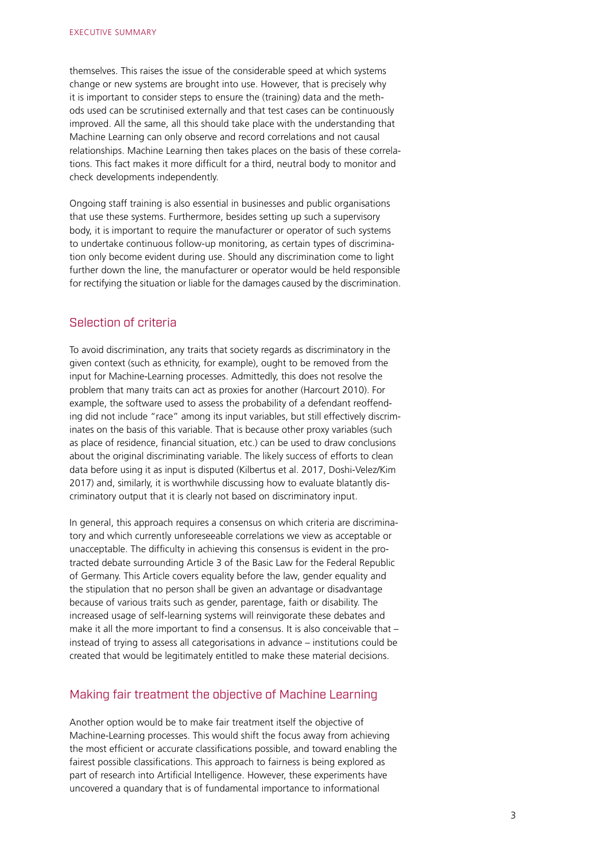themselves. This raises the issue of the considerable speed at which systems change or new systems are brought into use. However, that is precisely why it is important to consider steps to ensure the (training) data and the methods used can be scrutinised externally and that test cases can be continuously improved. All the same, all this should take place with the understanding that Machine Learning can only observe and record correlations and not causal relationships. Machine Learning then takes places on the basis of these correlations. This fact makes it more difficult for a third, neutral body to monitor and check developments independently.

Ongoing staff training is also essential in businesses and public organisations that use these systems. Furthermore, besides setting up such a supervisory body, it is important to require the manufacturer or operator of such systems to undertake continuous follow-up monitoring, as certain types of discrimination only become evident during use. Should any discrimination come to light further down the line, the manufacturer or operator would be held responsible for rectifying the situation or liable for the damages caused by the discrimination.

#### Selection of criteria

To avoid discrimination, any traits that society regards as discriminatory in the given context (such as ethnicity, for example), ought to be removed from the input for Machine-Learning processes. Admittedly, this does not resolve the problem that many traits can act as proxies for another (Harcourt 2010). For example, the software used to assess the probability of a defendant reoffending did not include "race" among its input variables, but still effectively discriminates on the basis of this variable. That is because other proxy variables (such as place of residence, financial situation, etc.) can be used to draw conclusions about the original discriminating variable. The likely success of efforts to clean data before using it as input is disputed (Kilbertus et al. 2017, Doshi-Velez/Kim 2017) and, similarly, it is worthwhile discussing how to evaluate blatantly discriminatory output that it is clearly not based on discriminatory input.

In general, this approach requires a consensus on which criteria are discriminatory and which currently unforeseeable correlations we view as acceptable or unacceptable. The difficulty in achieving this consensus is evident in the protracted debate surrounding Article 3 of the Basic Law for the Federal Republic of Germany. This Article covers equality before the law, gender equality and the stipulation that no person shall be given an advantage or disadvantage because of various traits such as gender, parentage, faith or disability. The increased usage of self-learning systems will reinvigorate these debates and make it all the more important to find a consensus. It is also conceivable that – instead of trying to assess all categorisations in advance – institutions could be created that would be legitimately entitled to make these material decisions.

#### Making fair treatment the objective of Machine Learning

Another option would be to make fair treatment itself the objective of Machine-Learning processes. This would shift the focus away from achieving the most efficient or accurate classifications possible, and toward enabling the fairest possible classifications. This approach to fairness is being explored as part of research into Artificial Intelligence. However, these experiments have uncovered a quandary that is of fundamental importance to informational